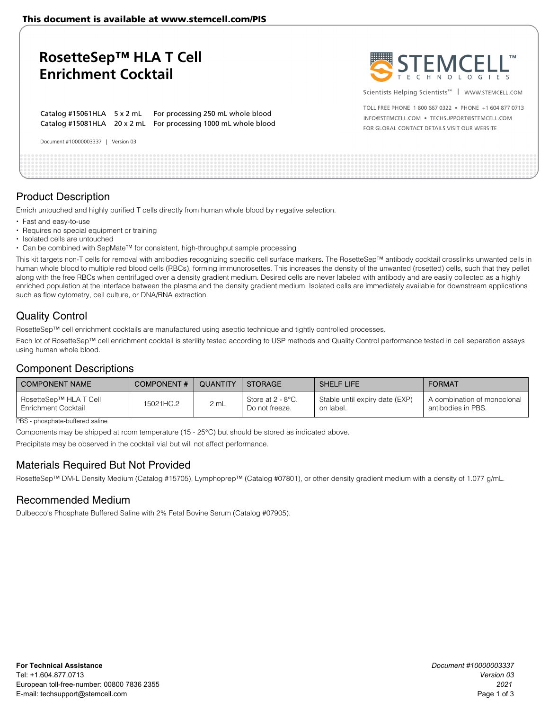This document is available at www.stemcell.com/PIS

| RosetteSep™ HLA T Cell<br><b>Enrichment Cocktail</b>                                                                           | STEMCELL"                                                                                                                                             |
|--------------------------------------------------------------------------------------------------------------------------------|-------------------------------------------------------------------------------------------------------------------------------------------------------|
|                                                                                                                                | Scientists Helping Scientists <sup>™</sup>   WWW.STEMCELL.COM                                                                                         |
| Catalog #15061HLA 5 x 2 mL For processing 250 mL whole blood<br>Catalog #15081HLA 20 x 2 mL For processing 1000 mL whole blood | TOLL FREE PHONE 1800 667 0322 • PHONE +1 604 877 0713<br>INFO@STEMCELL.COM . TECHSUPPORT@STEMCELL.COM<br>FOR GLOBAL CONTACT DETAILS VISIT OUR WEBSITE |
| Document #10000003337  <br>Version 03                                                                                          |                                                                                                                                                       |
|                                                                                                                                |                                                                                                                                                       |

# Product Description

Enrich untouched and highly purified T cells directly from human whole blood by negative selection.

- Fast and easy-to-use
- Requires no special equipment or training
- Isolated cells are untouched
- Can be combined with SepMate™ for consistent, high-throughput sample processing

This kit targets non-T cells for removal with antibodies recognizing specific cell surface markers. The RosetteSep™ antibody cocktail crosslinks unwanted cells in human whole blood to multiple red blood cells (RBCs), forming immunorosettes. This increases the density of the unwanted (rosetted) cells, such that they pellet along with the free RBCs when centrifuged over a density gradient medium. Desired cells are never labeled with antibody and are easily collected as a highly enriched population at the interface between the plasma and the density gradient medium. Isolated cells are immediately available for downstream applications such as flow cytometry, cell culture, or DNA/RNA extraction.

# Quality Control

RosetteSep™ cell enrichment cocktails are manufactured using aseptic technique and tightly controlled processes.

Each lot of RosetteSep™ cell enrichment cocktail is sterility tested according to USP methods and Quality Control performance tested in cell separation assays using human whole blood.

## Component Descriptions

| COMPONENT NAME                                | <b>COMPONENT#</b> | QUANTITY | STORAGE                             | <b>SHELF LIFE</b>                           | <b>FORMAT</b>                                     |
|-----------------------------------------------|-------------------|----------|-------------------------------------|---------------------------------------------|---------------------------------------------------|
| RosetteSep™ HLA T Cell<br>Enrichment Cocktail | 15021HC.2         | 2 mL     | Store at 2 - 8°C.<br>Do not freeze. | Stable until expiry date (EXP)<br>on label. | A combination of monoclonal<br>antibodies in PBS. |

PBS - phosphate-buffered saline

Components may be shipped at room temperature (15 - 25°C) but should be stored as indicated above.

Precipitate may be observed in the cocktail vial but will not affect performance.

## Materials Required But Not Provided

RosetteSep™ DM-L Density Medium (Catalog #15705), Lymphoprep™ (Catalog #07801), or other density gradient medium with a density of 1.077 g/mL.

## Recommended Medium

Dulbecco's Phosphate Buffered Saline with 2% Fetal Bovine Serum (Catalog #07905).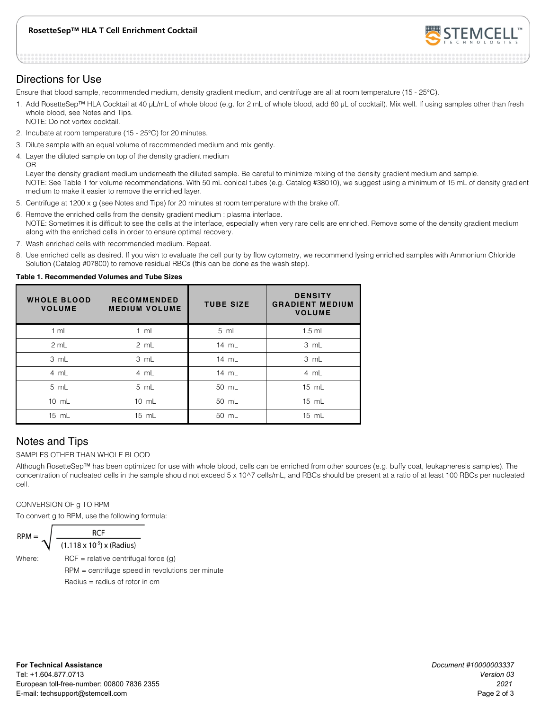### **RosetteSep™ HLA T Cell Enrichment Cocktail**



## Directions for Use

Ensure that blood sample, recommended medium, density gradient medium, and centrifuge are all at room temperature (15 - 25°C).

- 1. Add RosetteSep™ HLA Cocktail at 40 μL/mL of whole blood (e.g. for 2 mL of whole blood, add 80 μL of cocktail). Mix well. If using samples other than fresh whole blood, see Notes and Tips. NOTE: Do not vortex cocktail.
- 2. Incubate at room temperature (15 25°C) for 20 minutes.
- 3. Dilute sample with an equal volume of recommended medium and mix gently.
- 4. Layer the diluted sample on top of the density gradient medium OR

Layer the density gradient medium underneath the diluted sample. Be careful to minimize mixing of the density gradient medium and sample. NOTE: See Table 1 for volume recommendations. With 50 mL conical tubes (e.g. Catalog #38010), we suggest using a minimum of 15 mL of density gradient medium to make it easier to remove the enriched layer.

- 5. Centrifuge at 1200 x g (see Notes and Tips) for 20 minutes at room temperature with the brake off.
- 6. Remove the enriched cells from the density gradient medium : plasma interface. NOTE: Sometimes it is difficult to see the cells at the interface, especially when very rare cells are enriched. Remove some of the density gradient medium along with the enriched cells in order to ensure optimal recovery.
- 7. Wash enriched cells with recommended medium. Repeat.
- 8. Use enriched cells as desired. If you wish to evaluate the cell purity by flow cytometry, we recommend lysing enriched samples with Ammonium Chloride Solution (Catalog #07800) to remove residual RBCs (this can be done as the wash step).

#### **Table 1. Recommended Volumes and Tube Sizes**

| <b>WHOLE BLOOD</b><br><b>VOLUME</b> | <b>RECOMMENDED</b><br><b>MEDIUM VOLUME</b> | <b>TUBE SIZE</b> | <b>DENSITY</b><br><b>GRADIENT MEDIUM</b><br><b>VOLUME</b> |
|-------------------------------------|--------------------------------------------|------------------|-----------------------------------------------------------|
| 1 mL                                | 1 mL                                       | 5 mL             | $1.5$ mL                                                  |
| 2 mL                                | 2 mL                                       | $14 \text{ mL}$  | 3 mL                                                      |
| 3 mL                                | 3 mL                                       | 14 mL            | 3 mL                                                      |
| 4 mL                                | 4 mL                                       | $14 \text{ mL}$  | 4 mL                                                      |
| 5 mL                                | 5 mL                                       | 50 mL            | 15 mL                                                     |
| 10 mL                               | $10 \text{ mL}$                            | 50 mL            | 15 mL                                                     |
| $15 \text{ mL}$                     | $15 \text{ mL}$                            | 50 mL            | 15 mL                                                     |

# Notes and Tips

### SAMPLES OTHER THAN WHOLE BLOOD

Although RosetteSep™ has been optimized for use with whole blood, cells can be enriched from other sources (e.g. buffy coat, leukapheresis samples). The concentration of nucleated cells in the sample should not exceed 5 x 10^7 cells/mL, and RBCs should be present at a ratio of at least 100 RBCs per nucleated cell.

### CONVERSION OF g TO RPM

To convert g to RPM, use the following formula:

**RCF**  $(1.118 \times 10^{-5}) \times (Radius)$ 

Where:  $RCF =$  relative centrifugal force  $(q)$  RPM = centrifuge speed in revolutions per minute Radius = radius of rotor in cm